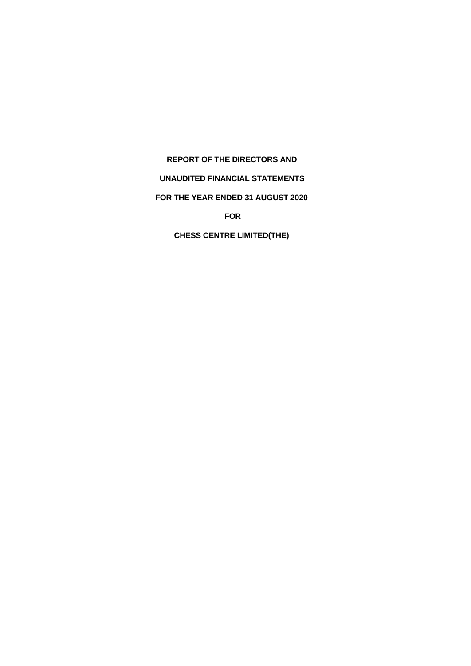## **REPORT OF THE DIRECTORS AND**

# **UNAUDITED FINANCIAL STATEMENTS**

# **FOR THE YEAR ENDED 31 AUGUST 2020**

**FOR**

**CHESS CENTRE LIMITED(THE)**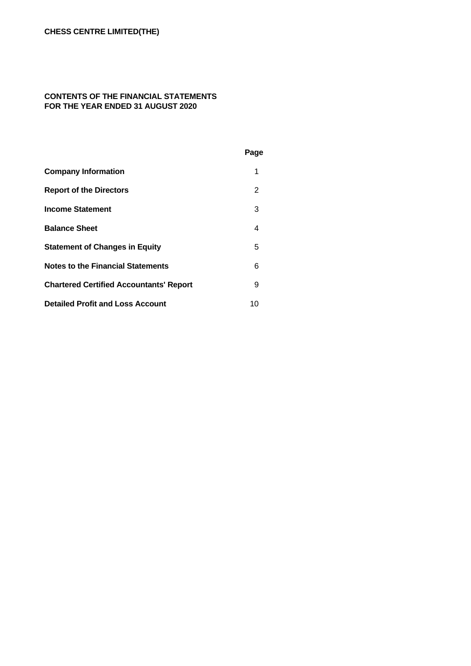### **CONTENTS OF THE FINANCIAL STATEMENTS FOR THE YEAR ENDED 31 AUGUST 2020**

|                                                | Page |  |
|------------------------------------------------|------|--|
| <b>Company Information</b>                     | 1    |  |
| <b>Report of the Directors</b>                 | 2    |  |
| <b>Income Statement</b>                        | 3    |  |
| <b>Balance Sheet</b>                           | 4    |  |
| <b>Statement of Changes in Equity</b>          | 5    |  |
| <b>Notes to the Financial Statements</b>       | 6    |  |
| <b>Chartered Certified Accountants' Report</b> | 9    |  |
| <b>Detailed Profit and Loss Account</b>        | 10   |  |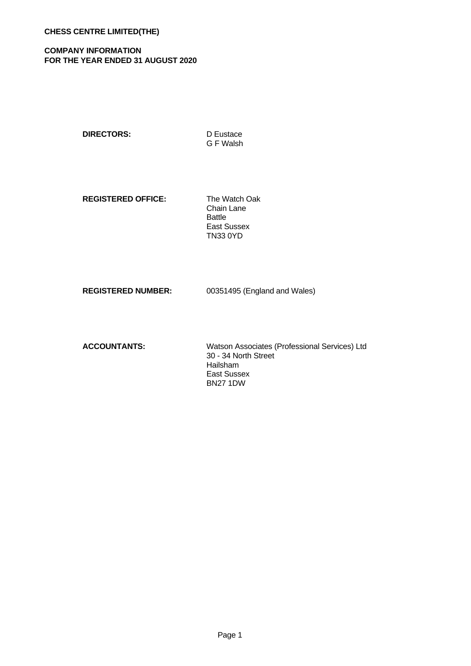## **COMPANY INFORMATION FOR THE YEAR ENDED 31 AUGUST 2020**

**DIRECTORS:** D Eustace

G F Walsh

**REGISTERED OFFICE:** The Watch Oak

Chain Lane Battle East Sussex TN33 0YD

**REGISTERED NUMBER:** 00351495 (England and Wales)

**ACCOUNTANTS:** Watson Associates (Professional Services) Ltd 30 - 34 North Street Hailsham East Sussex BN27 1DW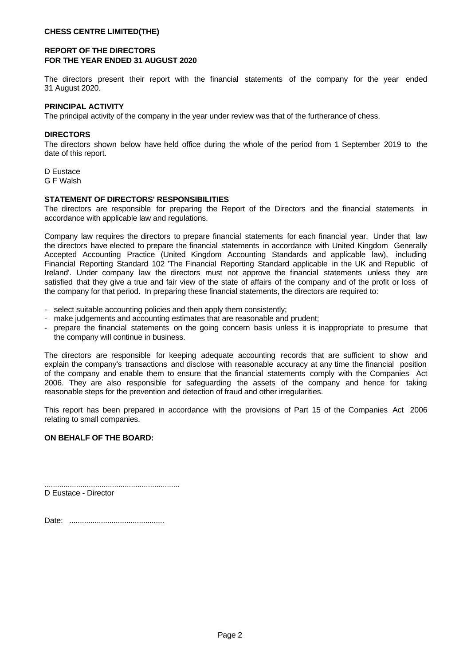### **CHESS CENTRE LIMITED(THE)**

## **REPORT OF THE DIRECTORS FOR THE YEAR ENDED 31 AUGUST 2020**

The directors present their report with the financial statements of the company for the year ended 31 August 2020.

### **PRINCIPAL ACTIVITY**

The principal activity of the company in the year under review was that of the furtherance of chess.

### **DIRECTORS**

The directors shown below have held office during the whole of the period from 1 September 2019 to the date of this report.

D Eustace G F Walsh

#### **STATEMENT OF DIRECTORS' RESPONSIBILITIES**

The directors are responsible for preparing the Report of the Directors and the financial statements in accordance with applicable law and regulations.

Company law requires the directors to prepare financial statements for each financial year. Under that law the directors have elected to prepare the financial statements in accordance with United Kingdom Generally Accepted Accounting Practice (United Kingdom Accounting Standards and applicable law), including Financial Reporting Standard 102 'The Financial Reporting Standard applicable in the UK and Republic of Ireland'. Under company law the directors must not approve the financial statements unless they are satisfied that they give a true and fair view of the state of affairs of the company and of the profit or loss of

- 
- 
- the company for that period. In preparing these financial statements, the directors are required to:<br>
select suitable accounting policies and then apply them consistently;<br>
make judgements and accounting estimates that the company will continue in business.

The directors are responsible for keeping adequate accounting records that are sufficient to show and explain the company's transactions and disclose with reasonable accuracy at any time the financial position of the company and enable them to ensure that the financial statements comply with the Companies Act 2006. They are also responsible for safeguarding the assets of the company and hence for taking reasonable steps for the prevention and detection of fraud and other irregularities.

This report has been prepared in accordance with the provisions of Part 15 of the Companies Act 2006 relating to small companies.

### **ON BEHALF OF THE BOARD:**

................................................................ D Eustace - Director

Date: .............................................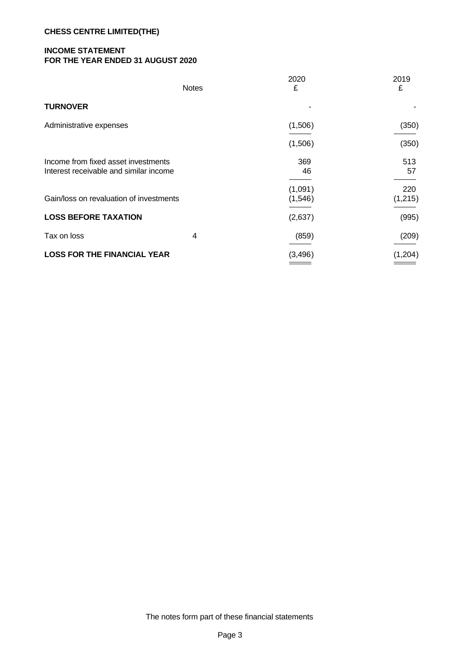## **CHESS CENTRE LIMITED(THE)**

# **INCOME STATEMENT FOR THE YEAR ENDED 31 AUGUST 2020**

|                                                                               | <b>Notes</b> | 2020<br>£          | 2019<br>£      |
|-------------------------------------------------------------------------------|--------------|--------------------|----------------|
| <b>TURNOVER</b>                                                               |              |                    |                |
| Administrative expenses                                                       |              | (1,506)            | (350)          |
|                                                                               |              | (1,506)            | (350)          |
| Income from fixed asset investments<br>Interest receivable and similar income |              | 369<br>46          | 513<br>57      |
| Gain/loss on revaluation of investments                                       |              | (1,091)<br>(1,546) | 220<br>(1,215) |
| <b>LOSS BEFORE TAXATION</b>                                                   |              | (2,637)            | (995)          |
| Tax on loss                                                                   | 4            | (859)              | (209)          |
| <b>LOSS FOR THE FINANCIAL YEAR</b>                                            |              | (3,496)            | (1,204)        |
|                                                                               |              |                    |                |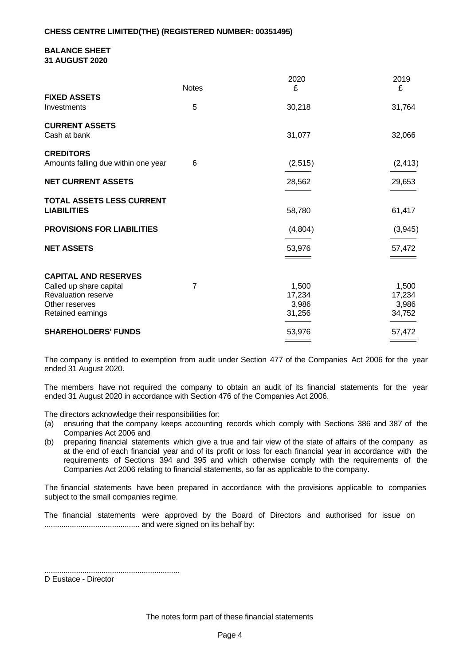#### **BALANCE SHEET 31 AUGUST 2020**

|                                                                                       | <b>Notes</b> | 2020<br>£                          | 2019<br>£                          |
|---------------------------------------------------------------------------------------|--------------|------------------------------------|------------------------------------|
| <b>FIXED ASSETS</b><br>Investments                                                    | 5            | 30,218                             | 31,764                             |
| <b>CURRENT ASSETS</b><br>Cash at bank                                                 |              | 31,077                             | 32,066                             |
| <b>CREDITORS</b><br>Amounts falling due within one year                               | 6            | (2, 515)                           | (2, 413)                           |
| <b>NET CURRENT ASSETS</b>                                                             |              | 28,562                             | 29,653                             |
| TOTAL ASSETS LESS CURRENT<br><b>LIABILITIES</b>                                       |              | 58,780                             | 61,417                             |
| <b>PROVISIONS FOR LIABILITIES</b>                                                     |              | (4,804)                            | (3,945)                            |
| <b>NET ASSETS</b>                                                                     |              | 53,976                             | 57,472                             |
| <b>CAPITAL AND RESERVES</b>                                                           |              |                                    |                                    |
| Called up share capital<br>Revaluation reserve<br>Other reserves<br>Retained earnings | 7            | 1,500<br>17,234<br>3,986<br>31,256 | 1,500<br>17,234<br>3,986<br>34,752 |
| <b>SHAREHOLDERS' FUNDS</b>                                                            |              | 53,976                             | 57,472                             |

The company is entitled to exemption from audit under Section 477 of the Companies Act 2006 for the year ended 31 August 2020.

The members have not required the company to obtain an audit of its financial statements for the year ended 31 August 2020 in accordance with Section 476 of the Companies Act 2006.

The directors acknowledge their responsibilities for:

- (a) ensuring that the company keeps accounting records which comply with Sections 386 and 387 of the Companies Act 2006 and
- (b) preparing financial statements which give a true and fair view of the state of affairs of the company as at the end of each financial year and of its profit or loss for each financial year in accordance with the requirements of Sections 394 and 395 and which otherwise comply with the requirements of the Companies Act 2006 relating to financial statements, so far as applicable to the company.

The financial statements have been prepared in accordance with the provisions applicable to companies subject to the small companies regime.

The financial statements were approved by the Board of Directors and authorised for issue on ............................................. and were signed on its behalf by:

................................................................

D Eustace - Director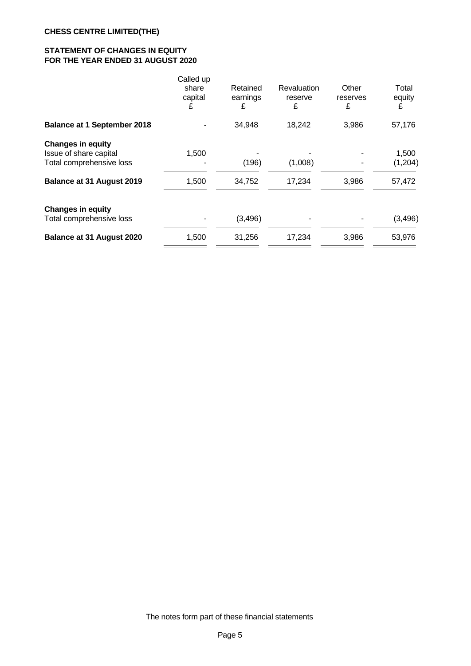# **STATEMENT OF CHANGES IN EQUITY FOR THE YEAR ENDED 31 AUGUST 2020**

|                                                                                | Called up<br>share<br>capital<br>£ | Retained<br>earnings<br>£ | Revaluation<br>reserve<br>£ | Other<br>reserves<br>£ | Total<br>equity<br>£ |  |
|--------------------------------------------------------------------------------|------------------------------------|---------------------------|-----------------------------|------------------------|----------------------|--|
| <b>Balance at 1 September 2018</b>                                             |                                    | 34,948                    | 18,242                      | 3,986                  | 57,176               |  |
| <b>Changes in equity</b><br>Issue of share capital<br>Total comprehensive loss | 1,500                              | (196)                     | (1,008)                     |                        | 1,500<br>(1,204)     |  |
| Balance at 31 August 2019                                                      | 1,500                              | 34,752                    | 17,234                      | 3,986                  | 57,472               |  |
| <b>Changes in equity</b><br>Total comprehensive loss                           |                                    | (3,496)                   |                             |                        | (3, 496)             |  |
| Balance at 31 August 2020                                                      | 1,500                              | 31,256                    | 17,234                      | 3,986                  | 53,976               |  |
|                                                                                |                                    |                           |                             |                        |                      |  |

The notes form part of these financial statements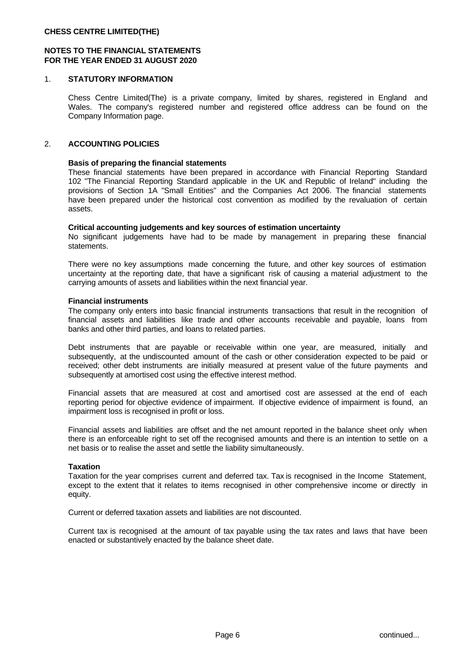## **NOTES TO THE FINANCIAL STATEMENTS FOR THE YEAR ENDED 31 AUGUST 2020**

### 1. **STATUTORY INFORMATION**

Chess Centre Limited(The) is a private company, limited by shares, registered in England and Wales. The company's registered number and registered office address can be found on the Company Information page.

### 2. **ACCOUNTING POLICIES**

#### **Basis of preparing the financial statements**

These financial statements have been prepared in accordance with Financial Reporting Standard 102 "The Financial Reporting Standard applicable in the UK and Republic of Ireland" including the provisions of Section 1A "Small Entities" and the Companies Act 2006. The financial statements have been prepared under the historical cost convention as modified by the revaluation of certain assets.

#### **Critical accounting judgements and key sources of estimation uncertainty**

No significant judgements have had to be made by management in preparing these financial statements.

There were no key assumptions made concerning the future, and other key sources of estimation uncertainty at the reporting date, that have a significant risk of causing a material adjustment to the carrying amounts of assets and liabilities within the next financial year.

#### **Financial instruments**

The company only enters into basic financial instruments transactions that result in the recognition of financial assets and liabilities like trade and other accounts receivable and payable, loans from banks and other third parties, and loans to related parties.

Debt instruments that are payable or receivable within one year, are measured, initially and subsequently, at the undiscounted amount of the cash or other consideration expected to be paid or received; other debt instruments are initially measured at present value of the future payments and subsequently at amortised cost using the effective interest method.

Financial assets that are measured at cost and amortised cost are assessed at the end of each reporting period for objective evidence of impairment. If objective evidence of impairment is found, an impairment loss is recognised in profit or loss.

Financial assets and liabilities are offset and the net amount reported in the balance sheet only when there is an enforceable right to set off the recognised amounts and there is an intention to settle on a net basis or to realise the asset and settle the liability simultaneously.

#### **Taxation**

Taxation for the year comprises current and deferred tax. Tax is recognised in the Income Statement, except to the extent that it relates to items recognised in other comprehensive income or directly in equity.

Current or deferred taxation assets and liabilities are not discounted.

Current tax is recognised at the amount of tax payable using the tax rates and laws that have been enacted or substantively enacted by the balance sheet date.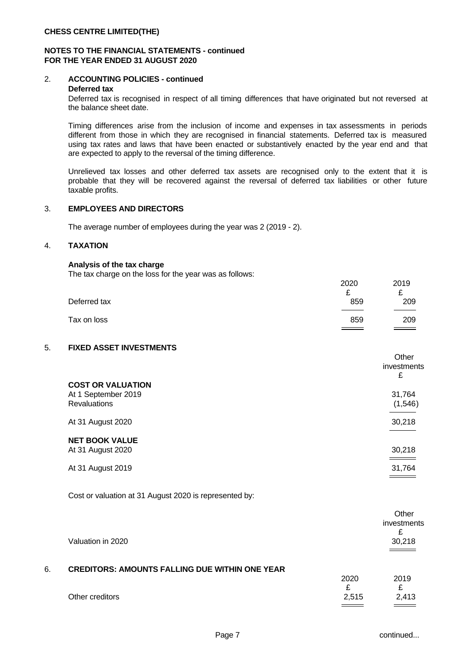### **NOTES TO THE FINANCIAL STATEMENTS - continued FOR THE YEAR ENDED 31 AUGUST 2020**

# 2. **ACCOUNTING POLICIES - continued**

### **Deferred tax**

Deferred tax is recognised in respect of all timing differences that have originated but not reversed at the balance sheet date.

Timing differences arise from the inclusion of income and expenses in tax assessments in periods different from those in which they are recognised in financial statements. Deferred tax is measured using tax rates and laws that have been enacted or substantively enacted by the year end and that are expected to apply to the reversal of the timing difference.

Unrelieved tax losses and other deferred tax assets are recognised only to the extent that it is probable that they will be recovered against the reversal of deferred tax liabilities or other future taxable profits.

### 3. **EMPLOYEES AND DIRECTORS**

The average number of employees during the year was 2 (2019 - 2).

### 4. **TAXATION**

### **Analysis of the tax charge**

The tax charge on the loss for the year was as follows:

|              | 2020 | 2019               |  |
|--------------|------|--------------------|--|
|              | ~    | ~                  |  |
| Deferred tax | 859  | 209                |  |
| Tax on loss  | 859  | 209                |  |
|              |      | $\hspace{1.5cm} =$ |  |

# 5. **FIXED ASSET INVESTMENTS**

| <b>COST OR VALUATION</b><br>At 1 September 2019<br><b>Revaluations</b> | Other<br><i>investments</i><br>£<br>31,764<br>(1,546) |
|------------------------------------------------------------------------|-------------------------------------------------------|
| At 31 August 2020                                                      | 30,218                                                |
| <b>NET BOOK VALUE</b><br>At 31 August 2020                             | 30,218<br>_____                                       |
| At 31 August 2019                                                      | 31,764                                                |

Cost or valuation at 31 August 2020 is represented by:

|    | Valuation in 2020                                     |       | Other<br>investments<br>c<br>30,218<br>$\qquad \qquad \overline{\qquad \qquad }$ |  |
|----|-------------------------------------------------------|-------|----------------------------------------------------------------------------------|--|
| 6. | <b>CREDITORS: AMOUNTS FALLING DUE WITHIN ONE YEAR</b> |       |                                                                                  |  |
|    |                                                       | 2020  | 2019                                                                             |  |
|    |                                                       | t.    | t.                                                                               |  |
|    | Other creditors                                       | 2,515 | 2,413                                                                            |  |
|    |                                                       |       |                                                                                  |  |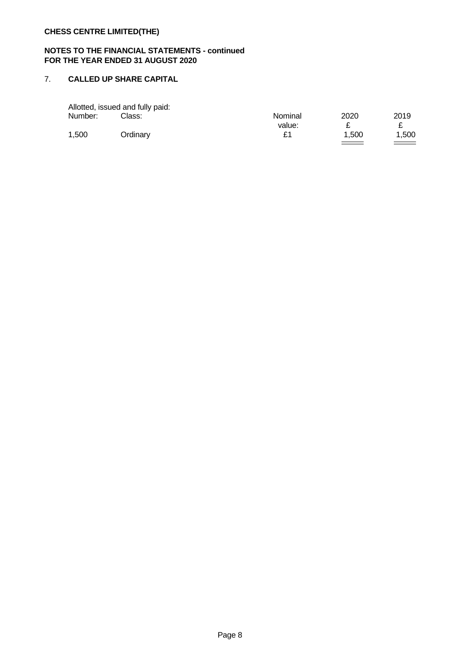# **NOTES TO THE FINANCIAL STATEMENTS - continued FOR THE YEAR ENDED 31 AUGUST 2020**

## 7. **CALLED UP SHARE CAPITAL**

|         | Allotted, issued and fully paid: |         |      |      |
|---------|----------------------------------|---------|------|------|
| Number: | Class:                           | Nominal | 2020 | 2019 |
|         |                                  | value:  |      |      |
| 1,500   | <b>Jrdinary</b>                  | £1      | .500 | ,500 |
|         |                                  |         |      |      |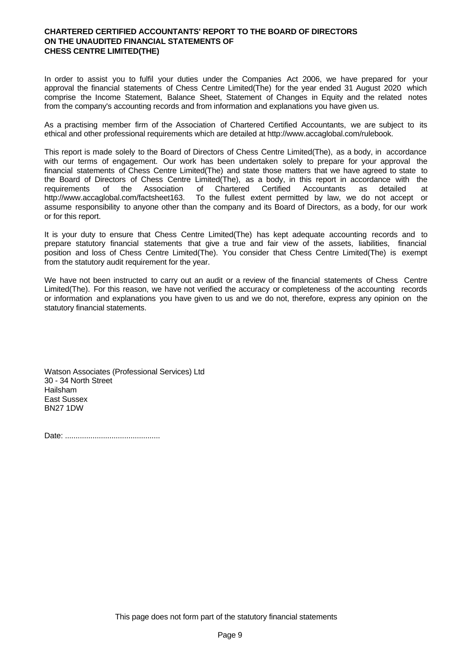## **CHARTERED CERTIFIED ACCOUNTANTS' REPORT TO THE BOARD OF DIRECTORS ON THE UNAUDITED FINANCIAL STATEMENTS OF CHESS CENTRE LIMITED(THE)**

In order to assist you to fulfil your duties under the Companies Act 2006, we have prepared for your approval the financial statements of Chess Centre Limited(The) for the year ended 31 August 2020 which comprise the Income Statement, Balance Sheet, Statement of Changes in Equity and the related notes from the company's accounting records and from information and explanations you have given us.

As a practising member firm of the Association of Chartered Certified Accountants, we are subject to its ethical and other professional requirements which are detailed at http://www.accaglobal.com/rulebook.

This report is made solely to the Board of Directors of Chess Centre Limited(The), as a body, in accordance with our terms of engagement. Our work has been undertaken solely to prepare for your approval the financial statements of Chess Centre Limited(The) and state those matters that we have agreed to state to the Board of Directors of Chess Centre Limited(The), as a body, in this report in accordance with the requirements of the Association of Chartered Certified Accountants as detailed at http://www.accaglobal.com/factsheet163. To the fullest extent permitted by law, we do not accept or assume responsibility to anyone other than the company and its Board of Directors, as a body, for our work or for this report.

It is your duty to ensure that Chess Centre Limited(The) has kept adequate accounting records and to prepare statutory financial statements that give a true and fair view of the assets, liabilities, financial position and loss of Chess Centre Limited(The). You consider that Chess Centre Limited(The) is exempt from the statutory audit requirement for the year.

We have not been instructed to carry out an audit or a review of the financial statements of Chess Centre Limited(The). For this reason, we have not verified the accuracy or completeness of the accounting records or information and explanations you have given to us and we do not, therefore, express any opinion on the statutory financial statements.

Watson Associates (Professional Services) Ltd 30 - 34 North Street Hailsham East Sussex BN27 1DW

Date: .............................................